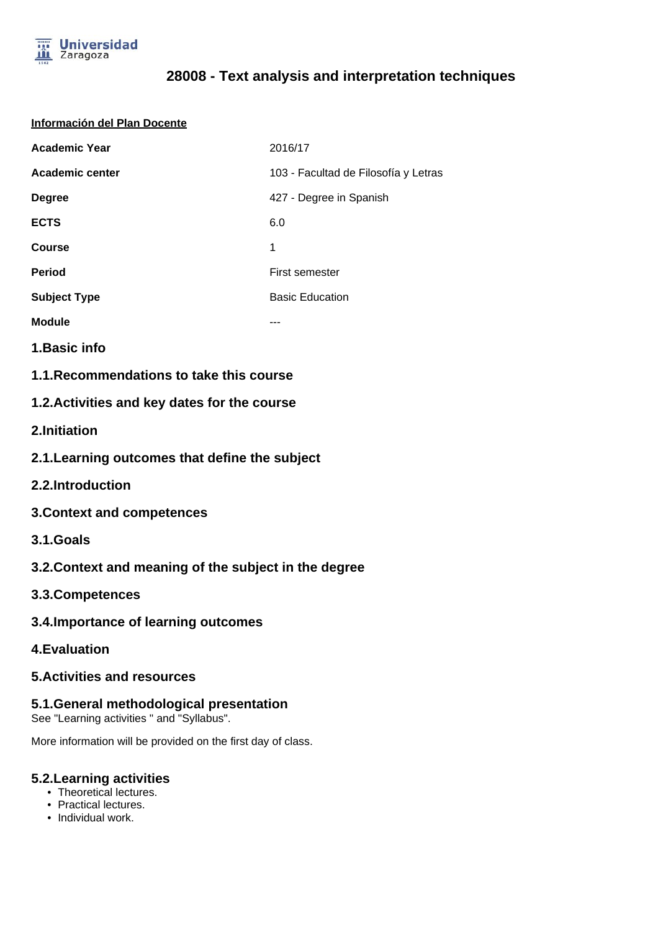

# **28008 - Text analysis and interpretation techniques**

#### **Información del Plan Docente**

| <b>Academic Year</b>   | 2016/17                              |
|------------------------|--------------------------------------|
| <b>Academic center</b> | 103 - Facultad de Filosofía y Letras |
| <b>Degree</b>          | 427 - Degree in Spanish              |
| <b>ECTS</b>            | 6.0                                  |
| Course                 | 1                                    |
| <b>Period</b>          | First semester                       |
| <b>Subject Type</b>    | <b>Basic Education</b>               |
| <b>Module</b>          |                                      |

**1.Basic info**

**1.1.Recommendations to take this course**

## **1.2.Activities and key dates for the course**

**2.Initiation**

- **2.1.Learning outcomes that define the subject**
- **2.2.Introduction**
- **3.Context and competences**
- **3.1.Goals**
- **3.2.Context and meaning of the subject in the degree**
- **3.3.Competences**
- **3.4.Importance of learning outcomes**
- **4.Evaluation**

## **5.Activities and resources**

### **5.1.General methodological presentation**

See "Learning activities " and "Syllabus".

More information will be provided on the first day of class.

#### **5.2.Learning activities**

- Theoretical lectures.
- Practical lectures.
- Individual work.